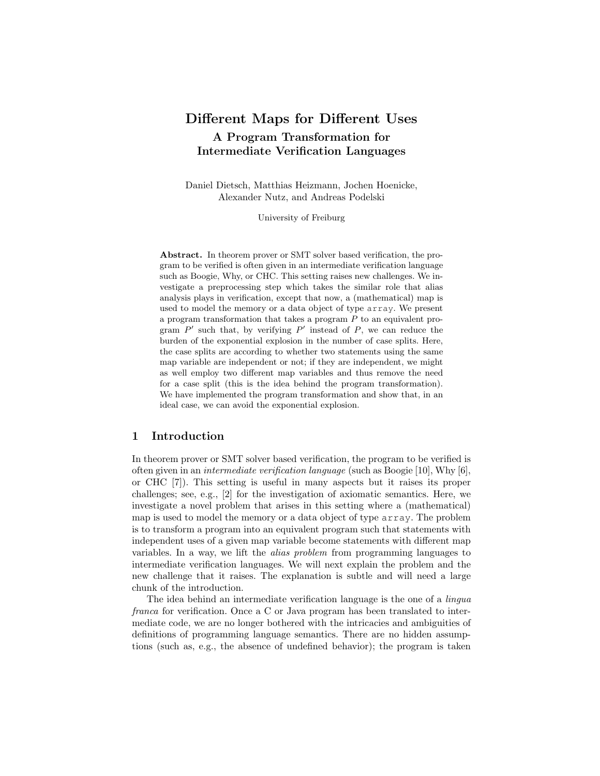# Different Maps for Different Uses A Program Transformation for Intermediate Verification Languages

Daniel Dietsch, Matthias Heizmann, Jochen Hoenicke, Alexander Nutz, and Andreas Podelski

University of Freiburg

Abstract. In theorem prover or SMT solver based verification, the program to be verified is often given in an intermediate verification language such as Boogie, Why, or CHC. This setting raises new challenges. We investigate a preprocessing step which takes the similar role that alias analysis plays in verification, except that now, a (mathematical) map is used to model the memory or a data object of type array. We present a program transformation that takes a program  $P$  to an equivalent program  $P'$  such that, by verifying  $P'$  instead of  $P$ , we can reduce the burden of the exponential explosion in the number of case splits. Here, the case splits are according to whether two statements using the same map variable are independent or not; if they are independent, we might as well employ two different map variables and thus remove the need for a case split (this is the idea behind the program transformation). We have implemented the program transformation and show that, in an ideal case, we can avoid the exponential explosion.

## 1 Introduction

In theorem prover or SMT solver based verification, the program to be verified is often given in an intermediate verification language (such as Boogie [\[10\]](#page-20-0), Why [\[6\]](#page-20-1), or CHC [\[7\]](#page-20-2)). This setting is useful in many aspects but it raises its proper challenges; see, e.g., [\[2\]](#page-20-3) for the investigation of axiomatic semantics. Here, we investigate a novel problem that arises in this setting where a (mathematical) map is used to model the memory or a data object of type array. The problem is to transform a program into an equivalent program such that statements with independent uses of a given map variable become statements with different map variables. In a way, we lift the alias problem from programming languages to intermediate verification languages. We will next explain the problem and the new challenge that it raises. The explanation is subtle and will need a large chunk of the introduction.

The idea behind an intermediate verification language is the one of a lingua franca for verification. Once a C or Java program has been translated to intermediate code, we are no longer bothered with the intricacies and ambiguities of definitions of programming language semantics. There are no hidden assumptions (such as, e.g., the absence of undefined behavior); the program is taken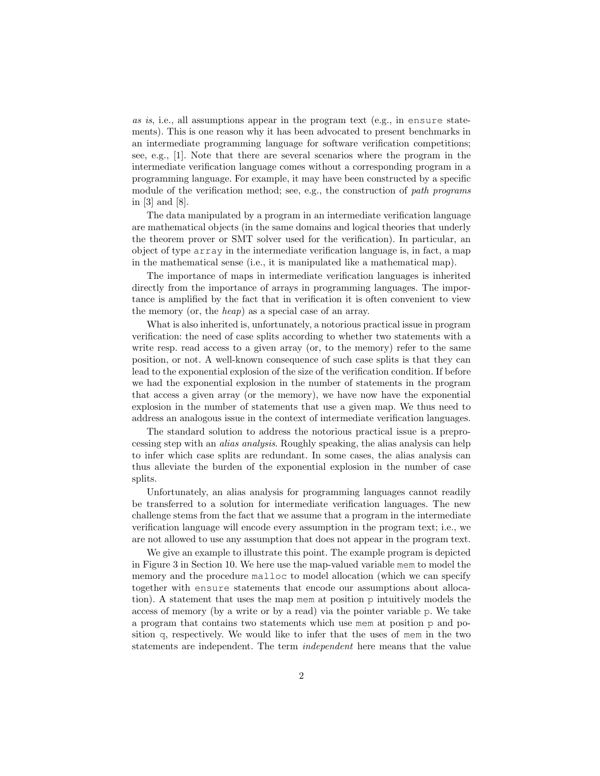as is, i.e., all assumptions appear in the program text (e.g., in ensure statements). This is one reason why it has been advocated to present benchmarks in an intermediate programming language for software verification competitions; see, e.g., [\[1\]](#page-20-4). Note that there are several scenarios where the program in the intermediate verification language comes without a corresponding program in a programming language. For example, it may have been constructed by a specific module of the verification method; see, e.g., the construction of path programs in [\[3\]](#page-20-5) and [\[8\]](#page-20-6).

The data manipulated by a program in an intermediate verification language are mathematical objects (in the same domains and logical theories that underly the theorem prover or SMT solver used for the verification). In particular, an object of type array in the intermediate verification language is, in fact, a map in the mathematical sense (i.e., it is manipulated like a mathematical map).

The importance of maps in intermediate verification languages is inherited directly from the importance of arrays in programming languages. The importance is amplified by the fact that in verification it is often convenient to view the memory (or, the heap) as a special case of an array.

What is also inherited is, unfortunately, a notorious practical issue in program verification: the need of case splits according to whether two statements with a write resp. read access to a given array (or, to the memory) refer to the same position, or not. A well-known consequence of such case splits is that they can lead to the exponential explosion of the size of the verification condition. If before we had the exponential explosion in the number of statements in the program that access a given array (or the memory), we have now have the exponential explosion in the number of statements that use a given map. We thus need to address an analogous issue in the context of intermediate verification languages.

The standard solution to address the notorious practical issue is a preprocessing step with an alias analysis. Roughly speaking, the alias analysis can help to infer which case splits are redundant. In some cases, the alias analysis can thus alleviate the burden of the exponential explosion in the number of case splits.

Unfortunately, an alias analysis for programming languages cannot readily be transferred to a solution for intermediate verification languages. The new challenge stems from the fact that we assume that a program in the intermediate verification language will encode every assumption in the program text; i.e., we are not allowed to use any assumption that does not appear in the program text.

We give an example to illustrate this point. The example program is depicted in Figure [3](#page-18-0) in Section [10.](#page-17-0) We here use the map-valued variable mem to model the memory and the procedure malloc to model allocation (which we can specify together with ensure statements that encode our assumptions about allocation). A statement that uses the map mem at position p intuitively models the access of memory (by a write or by a read) via the pointer variable p. We take a program that contains two statements which use mem at position p and position q, respectively. We would like to infer that the uses of mem in the two statements are independent. The term independent here means that the value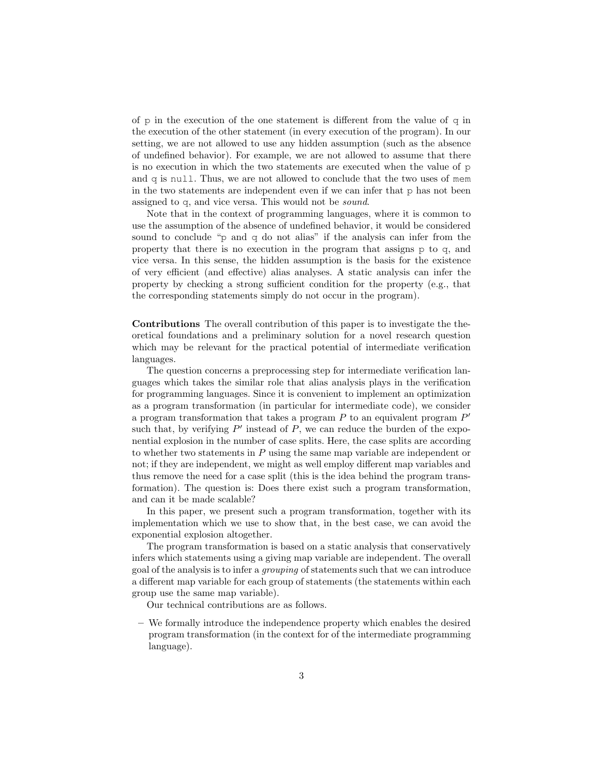of  $p$  in the execution of the one statement is different from the value of  $q$  in the execution of the other statement (in every execution of the program). In our setting, we are not allowed to use any hidden assumption (such as the absence of undefined behavior). For example, we are not allowed to assume that there is no execution in which the two statements are executed when the value of p and q is null. Thus, we are not allowed to conclude that the two uses of mem in the two statements are independent even if we can infer that p has not been assigned to q, and vice versa. This would not be sound.

Note that in the context of programming languages, where it is common to use the assumption of the absence of undefined behavior, it would be considered sound to conclude "p and q do not alias" if the analysis can infer from the property that there is no execution in the program that assigns p to q, and vice versa. In this sense, the hidden assumption is the basis for the existence of very efficient (and effective) alias analyses. A static analysis can infer the property by checking a strong sufficient condition for the property (e.g., that the corresponding statements simply do not occur in the program).

Contributions The overall contribution of this paper is to investigate the theoretical foundations and a preliminary solution for a novel research question which may be relevant for the practical potential of intermediate verification languages.

The question concerns a preprocessing step for intermediate verification languages which takes the similar role that alias analysis plays in the verification for programming languages. Since it is convenient to implement an optimization as a program transformation (in particular for intermediate code), we consider a program transformation that takes a program  $P$  to an equivalent program  $P'$ such that, by verifying  $P'$  instead of  $P$ , we can reduce the burden of the exponential explosion in the number of case splits. Here, the case splits are according to whether two statements in  $P$  using the same map variable are independent or not; if they are independent, we might as well employ different map variables and thus remove the need for a case split (this is the idea behind the program transformation). The question is: Does there exist such a program transformation, and can it be made scalable?

In this paper, we present such a program transformation, together with its implementation which we use to show that, in the best case, we can avoid the exponential explosion altogether.

The program transformation is based on a static analysis that conservatively infers which statements using a giving map variable are independent. The overall goal of the analysis is to infer a grouping of statements such that we can introduce a different map variable for each group of statements (the statements within each group use the same map variable).

Our technical contributions are as follows.

– We formally introduce the independence property which enables the desired program transformation (in the context for of the intermediate programming language).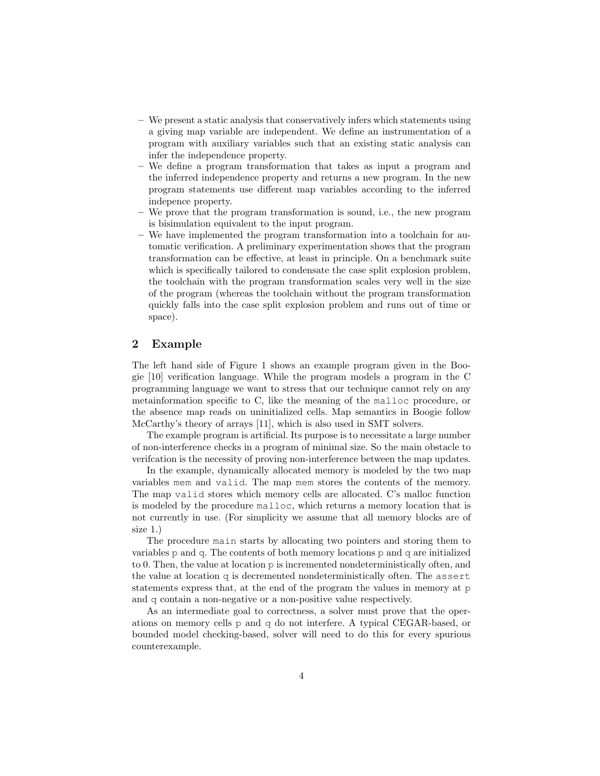- We present a static analysis that conservatively infers which statements using a giving map variable are independent. We define an instrumentation of a program with auxiliary variables such that an existing static analysis can infer the independence property.
- We define a program transformation that takes as input a program and the inferred independence property and returns a new program. In the new program statements use different map variables according to the inferred indepence property.
- We prove that the program transformation is sound, i.e., the new program is bisimulation equivalent to the input program.
- We have implemented the program transformation into a toolchain for automatic verification. A preliminary experimentation shows that the program transformation can be effective, at least in principle. On a benchmark suite which is specifically tailored to condensate the case split explosion problem, the toolchain with the program transformation scales very well in the size of the program (whereas the toolchain without the program transformation quickly falls into the case split explosion problem and runs out of time or space).

### <span id="page-3-0"></span>2 Example

The left hand side of Figure [1](#page-4-0) shows an example program given in the Boogie [\[10\]](#page-20-0) verification language. While the program models a program in the C programming language we want to stress that our technique cannot rely on any metainformation specific to C, like the meaning of the malloc procedure, or the absence map reads on uninitialized cells. Map semantics in Boogie follow McCarthy's theory of arrays [\[11\]](#page-20-7), which is also used in SMT solvers.

The example program is artificial. Its purpose is to necessitate a large number of non-interference checks in a program of minimal size. So the main obstacle to verifcation is the necessity of proving non-interference between the map updates.

In the example, dynamically allocated memory is modeled by the two map variables mem and valid. The map mem stores the contents of the memory. The map valid stores which memory cells are allocated. C's malloc function is modeled by the procedure malloc, which returns a memory location that is not currently in use. (For simplicity we assume that all memory blocks are of size 1.)

The procedure main starts by allocating two pointers and storing them to variables  $p$  and  $q$ . The contents of both memory locations  $p$  and  $q$  are initialized to 0. Then, the value at location p is incremented nondeterministically often, and the value at location q is decremented nondeterministically often. The assert statements express that, at the end of the program the values in memory at p and q contain a non-negative or a non-positive value respectively.

As an intermediate goal to correctness, a solver must prove that the operations on memory cells p and q do not interfere. A typical CEGAR-based, or bounded model checking-based, solver will need to do this for every spurious counterexample.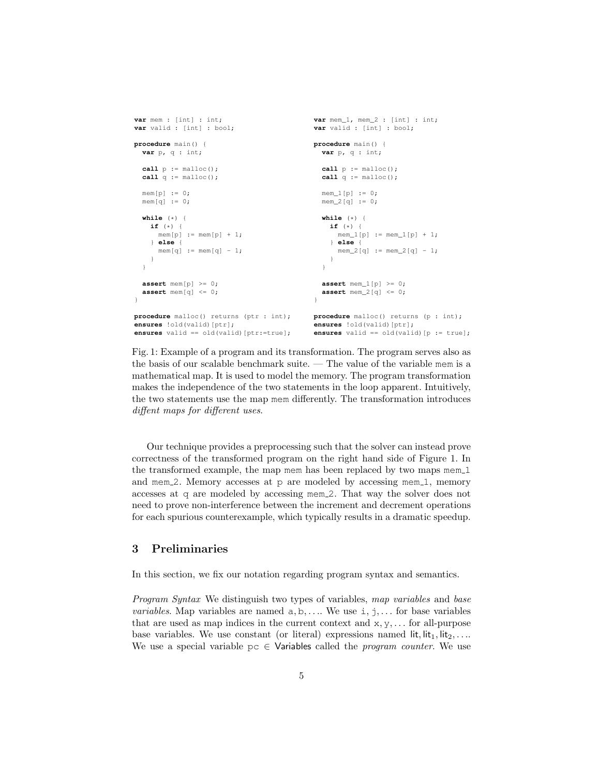```
var mem : [int] : int;
var valid : [int] : bool;
procedure main() {
  var p, q : int;
  call p := malloc();
  call q := malloc();
  mem[p] := 0;mem[q] := 0;while (*) {
    if (*) {
      mem[p] := mem[p] + 1;} else {
      mem[q] := mem[q] - 1;}
  }
  assert mem[p] >= 0;
  assert mem[q] <= 0;
}
procedure malloc() returns (ptr : int);
ensures !old(valid)[ptr];
ensures valid == old(valid)[ptr:=true];
                                             var mem_1, mem_2 : [int] : int;
                                             var valid : [int] : bool;
                                             procedure main() {
                                               var p, q : int;
                                               call p := malloc();
                                               call q := malloc();
                                               mem\_1[p] := 0;mem_2[q] := 0;while (*) {
                                                 if (*) {
                                                   mem\_1[p] := mem\_1[p] + 1;} else {
                                                   mem_2[q] := mem_2[q] - 1;}
                                                }
                                                assert mem_1[p] >= 0;
                                               assert mem_2[q] <= 0;
                                              }
                                             procedure malloc() returns (p : int);
                                             ensures !old(valid)[ptr];
                                             ensures valid == old(valid)[p := true];
```
Fig. 1: Example of a program and its transformation. The program serves also as the basis of our scalable benchmark suite. — The value of the variable mem is a mathematical map. It is used to model the memory. The program transformation makes the independence of the two statements in the loop apparent. Intuitively, the two statements use the map mem differently. The transformation introduces diffent maps for different uses.

Our technique provides a preprocessing such that the solver can instead prove correctness of the transformed program on the right hand side of Figure [1.](#page-4-0) In the transformed example, the map mem has been replaced by two maps mem 1 and mem<sub>-2</sub>. Memory accesses at p are modeled by accessing mem<sub>-1</sub>, memory accesses at q are modeled by accessing mem 2. That way the solver does not need to prove non-interference between the increment and decrement operations for each spurious counterexample, which typically results in a dramatic speedup.

# 3 Preliminaries

In this section, we fix our notation regarding program syntax and semantics.

Program Syntax We distinguish two types of variables, map variables and base *variables.* Map variables are named  $a, b, \ldots$ . We use i, j,... for base variables that are used as map indices in the current context and  $x, y, \ldots$  for all-purpose base variables. We use constant (or literal) expressions named lit,  $\text{lit}_1, \text{lit}_2, \ldots$ We use a special variable  $pc \in$  Variables called the *program counter*. We use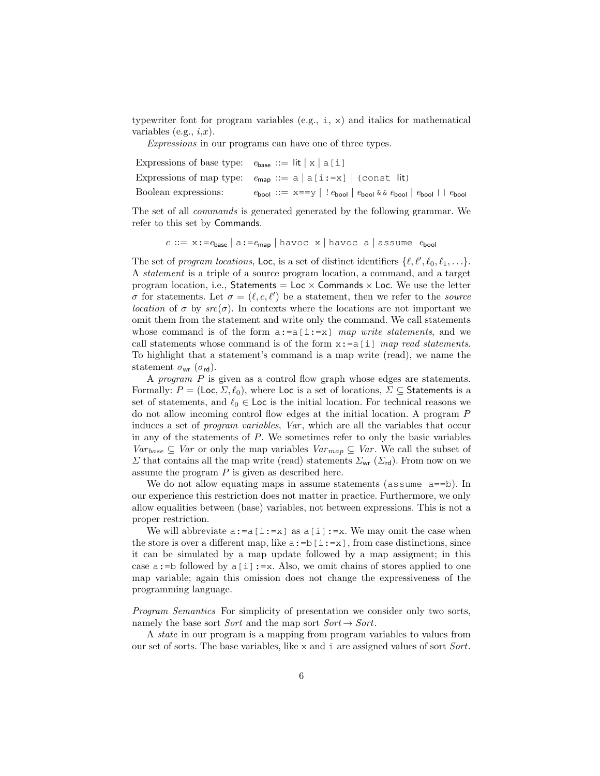typewriter font for program variables (e.g., i, x) and italics for mathematical variables (e.g.,  $i,x$ ).

Expressions in our programs can have one of three types.

| Expressions of base type: $e_{\text{base}} ::= \text{lit}   \text{ x}   \text{ a} [\text{ i}]$ |                                                                                                                                      |
|------------------------------------------------------------------------------------------------|--------------------------------------------------------------------------------------------------------------------------------------|
|                                                                                                | Expressions of map type: $e_{\text{map}} ::= a   a[i:=x]   (const \text{lit})$                                                       |
| Boolean expressions:                                                                           | $e_{\text{bool}}$ ::= $x = y \mid e_{\text{bool}} \mid e_{\text{bool}} \& e_{\text{bool}} \mid e_{\text{bool}} \mid e_{\text{bool}}$ |

The set of all commands is generated generated by the following grammar. We refer to this set by Commands.

 $c ::= \mathbf{x} : = e_{\text{base}} | \mathbf{a} : = e_{\text{map}} | \mathbf{h} \text{avoc} \mathbf{x} | \mathbf{h} \text{avoc} \mathbf{a} | \text{assume } e_{\text{bool}}$ 

The set of program locations, Loc, is a set of distinct identifiers  $\{\ell, \ell', \ell_0, \ell_1, \ldots\}$ . A statement is a triple of a source program location, a command, and a target program location, i.e., Statements =  $Loc \times$  Commands  $\times$  Loc. We use the letter σ for statements. Let  $\sigma = (\ell, c, \ell')$  be a statement, then we refer to the *source location* of  $\sigma$  by  $src(\sigma)$ . In contexts where the locations are not important we omit them from the statement and write only the command. We call statements whose command is of the form  $a:=a[i:=x]$  map write statements, and we call statements whose command is of the form  $x:=a[i]$  map read statements. To highlight that a statement's command is a map write (read), we name the statement  $\sigma_{\text{wr}}$  ( $\sigma_{\text{rd}}$ ).

A program P is given as a control flow graph whose edges are statements. Formally:  $P = (Loc, \Sigma, \ell_0)$ , where Loc is a set of locations,  $\Sigma \subseteq$  Statements is a set of statements, and  $\ell_0 \in \text{Loc}$  is the initial location. For technical reasons we do not allow incoming control flow edges at the initial location. A program P induces a set of *program variables*, *Var*, which are all the variables that occur in any of the statements of P. We sometimes refer to only the basic variables  $Var_{base} \subseteq Var$  or only the map variables  $Var_{map} \subseteq Var$ . We call the subset of  $\Sigma$  that contains all the map write (read) statements  $\Sigma_{\text{wr}}$  ( $\Sigma_{\text{rd}}$ ). From now on we assume the program  $P$  is given as described here.

We do not allow equating maps in assume statements (assume  $a == b$ ). In our experience this restriction does not matter in practice. Furthermore, we only allow equalities between (base) variables, not between expressions. This is not a proper restriction.

We will abbreviate  $a := a[i := x]$  as  $a[i] := x$ . We may omit the case when the store is over a different map, like  $a:=b[i:=x]$ , from case distinctions, since it can be simulated by a map update followed by a map assigment; in this case  $a:=b$  followed by  $a[i]:=x$ . Also, we omit chains of stores applied to one map variable; again this omission does not change the expressiveness of the programming language.

Program Semantics For simplicity of presentation we consider only two sorts, namely the base sort *Sort* and the map sort  $Sort \rightarrow Sort$ .

A state in our program is a mapping from program variables to values from our set of sorts. The base variables, like  $x$  and i are assigned values of sort Sort.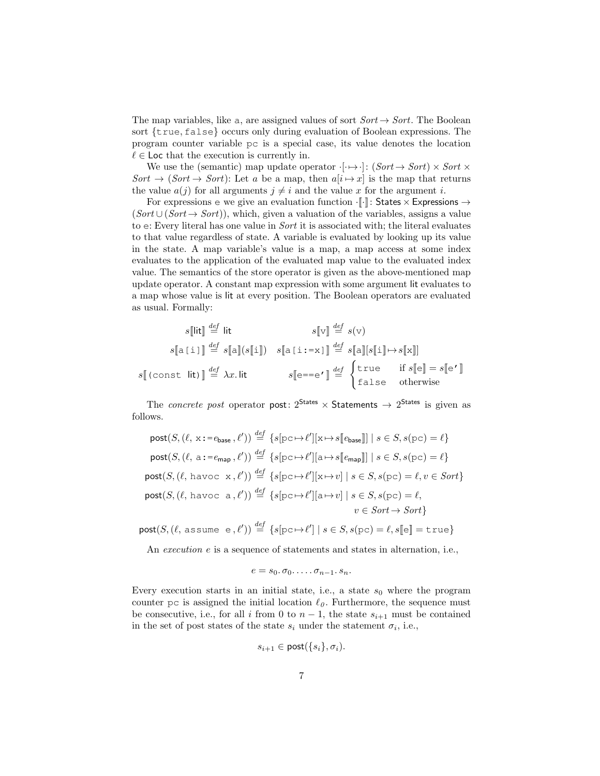The map variables, like a, are assigned values of sort  $Sort \rightarrow Sort$ . The Boolean sort {true, false} occurs only during evaluation of Boolean expressions. The program counter variable pc is a special case, its value denotes the location  $\ell \in \text{Loc that the execution is currently in.}$ 

We use the (semantic) map update operator  $\cdot[\cdot \mapsto \cdot] : (Sort \rightarrow Sort) \times Sort \times$ Sort  $\rightarrow$  (Sort  $\rightarrow$  Sort): Let a be a map, then  $a[i \rightarrow x]$  is the map that returns the value  $a(j)$  for all arguments  $j \neq i$  and the value x for the argument i.

For expressions e we give an evaluation function  $\cdot \llbracket \cdot \rrbracket$ : States × Expressions  $\rightarrow$  $(Sort \cup (Sort \rightarrow Sort)$ , which, given a valuation of the variables, assigns a value to e: Every literal has one value in Sort it is associated with; the literal evaluates to that value regardless of state. A variable is evaluated by looking up its value in the state. A map variable's value is a map, a map access at some index evaluates to the application of the evaluated map value to the evaluated index value. The semantics of the store operator is given as the above-mentioned map update operator. A constant map expression with some argument lit evaluates to a map whose value is lit at every position. The Boolean operators are evaluated as usual. Formally:

$$
s[\![\text{it}]\!] \stackrel{\text{def}}{=} \text{lit} \qquad s[\![v]\!] \stackrel{\text{def}}{=} s(v)
$$
\n
$$
s[\![a[\![i]\!]] \stackrel{\text{def}}{=} s[\![a]\!](s[\![i]\!]) \quad s[\![a[\![i]\!]-x]\!] \stackrel{\text{def}}{=} s[\![a]\!][s[\![i]\!]+\,s[\![x]\!]]
$$
\n
$$
s[\![\text{const}\!] \text{lit}) \parallel \stackrel{\text{def}}{=} \lambda x. \text{lit} \qquad s[\![e == e'] \!] \stackrel{\text{def}}{=} \begin{cases} \text{true} & \text{if } s[\![e]\!]=s[\![e'] \!] \\ \text{false} & \text{otherwise} \end{cases}
$$

The *concrete post* operator post:  $2^{States} \times Statements \rightarrow 2^{States}$  is given as follows.

post
$$
(S, (\ell, x := e_{base}, \ell')) \stackrel{def}{=} \{s[\text{pc} \mapsto \ell'] [x \mapsto s[\ell_{base}]] \mid s \in S, s(\text{pc}) = \ell\}
$$
  
post $(S, (\ell, a := e_{map}, \ell')) \stackrel{def}{=} \{s[\text{pc} \mapsto \ell'] [a \mapsto s[\ell_{map}]] \mid s \in S, s(\text{pc}) = \ell\}$   
post $(S, (\ell, \text{havoc } x, \ell')) \stackrel{def}{=} \{s[\text{pc} \mapsto \ell'] [x \mapsto v] \mid s \in S, s(\text{pc}) = \ell, v \in Sort\}$   
post $(S, (\ell, \text{havoc } a, \ell')) \stackrel{def}{=} \{s[\text{pc} \mapsto \ell'] [a \mapsto v] \mid s \in S, s(\text{pc}) = \ell, v \in Sort \mapsto Sort\}$ 

 $\mathsf{post}(S,(\ell, \text{assume } e, \ell')) \stackrel{def}{=} \{s[\text{pc} \mapsto \ell'] \mid s \in S, s(\text{pc}) = \ell, s[\![e]\!] = \texttt{true}\}$ 

An execution e is a sequence of statements and states in alternation, i.e.,

$$
e=s_0.\sigma_0.\ldots.\sigma_{n-1}.s_n.
$$

Every execution starts in an initial state, i.e., a state  $s_0$  where the program counter pc is assigned the initial location  $\ell_{\theta}$ . Furthermore, the sequence must be consecutive, i.e., for all i from 0 to  $n-1$ , the state  $s_{i+1}$  must be contained in the set of post states of the state  $s_i$  under the statement  $\sigma_i$ , i.e.,

$$
s_{i+1} \in \mathsf{post}(\{s_i\}, \sigma_i).
$$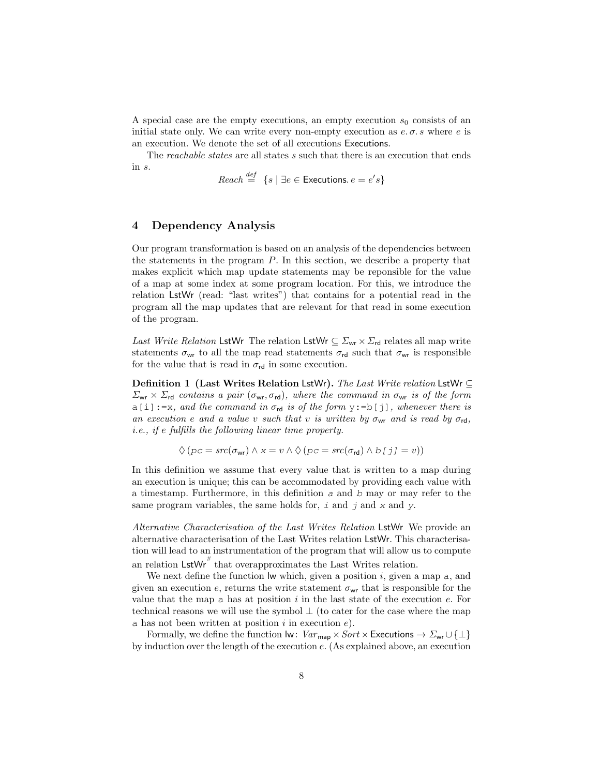A special case are the empty executions, an empty execution  $s_0$  consists of an initial state only. We can write every non-empty execution as  $e.\sigma.s$  where e is an execution. We denote the set of all executions Executions.

The *reachable states* are all states s such that there is an execution that ends in s.

*Reach* 
$$
\stackrel{def}{=} \{s \mid \exists e \in \text{Exections. } e = e's\}
$$

# <span id="page-7-0"></span>4 Dependency Analysis

Our program transformation is based on an analysis of the dependencies between the statements in the program  $P$ . In this section, we describe a property that makes explicit which map update statements may be reponsible for the value of a map at some index at some program location. For this, we introduce the relation LstWr (read: "last writes") that contains for a potential read in the program all the map updates that are relevant for that read in some execution of the program.

Last Write Relation LstWr The relation LstWr  $\subseteq \Sigma_{\text{wr}} \times \Sigma_{\text{rd}}$  relates all map write statements  $\sigma_{\text{wr}}$  to all the map read statements  $\sigma_{\text{rd}}$  such that  $\sigma_{\text{wr}}$  is responsible for the value that is read in  $\sigma_{rd}$  in some execution.

Definition 1 (Last Writes Relation LstWr). The Last Write relation LstWr ⊆  $\Sigma_{\text{wr}} \times \Sigma_{\text{rd}}$  contains a pair  $(\sigma_{\text{wr}}, \sigma_{\text{rd}})$ , where the command in  $\sigma_{\text{wr}}$  is of the form  $a[i]:=x, and the command in  $\sigma_{rd}$  is of the form  $y:=b[j]$ , whenever there is$ an execution e and a value v such that v is written by  $\sigma_{\text{wr}}$  and is read by  $\sigma_{\text{rd}}$ , i.e., if e fulfills the following linear time property.

 $\Diamond (pc = src(\sigma_{\text{wr}}) \land x = v \land \Diamond (pc = src(\sigma_{\text{rd}}) \land b[i] = v))$ 

In this definition we assume that every value that is written to a map during an execution is unique; this can be accommodated by providing each value with a timestamp. Furthermore, in this definition  $\alpha$  and  $\beta$  may or may refer to the same program variables, the same holds for,  $i$  and  $j$  and  $x$  and  $y$ .

Alternative Characterisation of the Last Writes Relation LstWr We provide an alternative characterisation of the Last Writes relation LstWr. This characterisation will lead to an instrumentation of the program that will allow us to compute an relation  $\mathsf{LstWr}^{\#}$  that overapproximates the Last Writes relation.

We next define the function lw which, given a position  $i$ , given a map a, and given an execution e, returns the write statement  $\sigma_{\text{wr}}$  that is responsible for the value that the map a has at position  $i$  in the last state of the execution  $e$ . For technical reasons we will use the symbol  $\perp$  (to cater for the case where the map a has not been written at position  $i$  in execution  $e$ ).

Formally, we define the function lw:  $Var_{\text{map}} \times Sort \times$  Executions  $\rightarrow \Sigma_{\text{wr}} \cup \{\perp\}$ by induction over the length of the execution e. (As explained above, an execution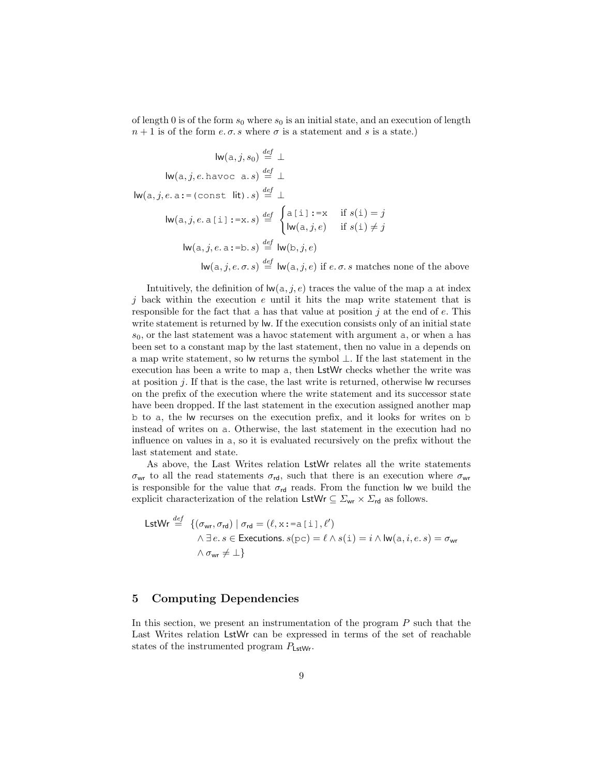of length 0 is of the form  $s_0$  where  $s_0$  is an initial state, and an execution of length  $n+1$  is of the form  $e.\sigma.s$  where  $\sigma$  is a statement and s is a state.)

$$
lw(a, j, s_0) \stackrel{def}{=} \perp
$$
  
\n
$$
lw(a, j, e. \text{ have } a. s) \stackrel{def}{=} \perp
$$
  
\n
$$
lw(a, j, e. a := (\text{const } \text{lit}). s) \stackrel{def}{=} \perp
$$
  
\n
$$
lw(a, j, e. a [\text{i}] := x. s) \stackrel{def}{=} \begin{cases} a [\text{i}] := x & \text{if } s(\text{i}) = j \\ lw(a, j, e) & \text{if } s(\text{i}) \neq j \end{cases}
$$
  
\n
$$
lw(a, j, e. a := b. s) \stackrel{def}{=} lw(b, j, e)
$$
  
\n
$$
lw(a, j, e. \sigma. s) \stackrel{def}{=} lw(a, j, e) \text{ if } e. \sigma. s \text{ matches none of the above}
$$

Intuitively, the definition of  $w(a, j, e)$  traces the value of the map a at index j back within the execution  $e$  until it hits the map write statement that is responsible for the fact that a has that value at position  $j$  at the end of  $e$ . This write statement is returned by lw. If the execution consists only of an initial state  $s_0$ , or the last statement was a havoc statement with argument a, or when a has been set to a constant map by the last statement, then no value in a depends on a map write statement, so lw returns the symbol ⊥. If the last statement in the execution has been a write to map a, then LstWr checks whether the write was at position  $j$ . If that is the case, the last write is returned, otherwise lw recurses on the prefix of the execution where the write statement and its successor state have been dropped. If the last statement in the execution assigned another map b to a, the lw recurses on the execution prefix, and it looks for writes on b instead of writes on a. Otherwise, the last statement in the execution had no influence on values in a, so it is evaluated recursively on the prefix without the last statement and state.

As above, the Last Writes relation LstWr relates all the write statements  $\sigma_{\text{wr}}$  to all the read statements  $\sigma_{\text{rd}}$ , such that there is an execution where  $\sigma_{\text{wr}}$ is responsible for the value that  $\sigma_{rd}$  reads. From the function lw we build the explicit characterization of the relation LstWr  $\subseteq \Sigma_{\text{wr}} \times \Sigma_{\text{rd}}$  as follows.

$$
\begin{aligned}\n\text{LstWr} & \stackrel{def}{=} \{ (\sigma_{\text{wr}}, \sigma_{\text{rd}}) \mid \sigma_{\text{rd}} = (\ell, x := a[i], \ell') \\
&\land \exists e. s \in \text{Executions.} \ s(\text{pc}) = \ell \land s(i) = i \land \text{lw}(a, i, e. s) = \sigma_{\text{wr}} \\
&\land \sigma_{\text{wr}} \neq \bot \}\n\end{aligned}
$$

### 5 Computing Dependencies

In this section, we present an instrumentation of the program  $P$  such that the Last Writes relation LstWr can be expressed in terms of the set of reachable states of the instrumented program PLstWr.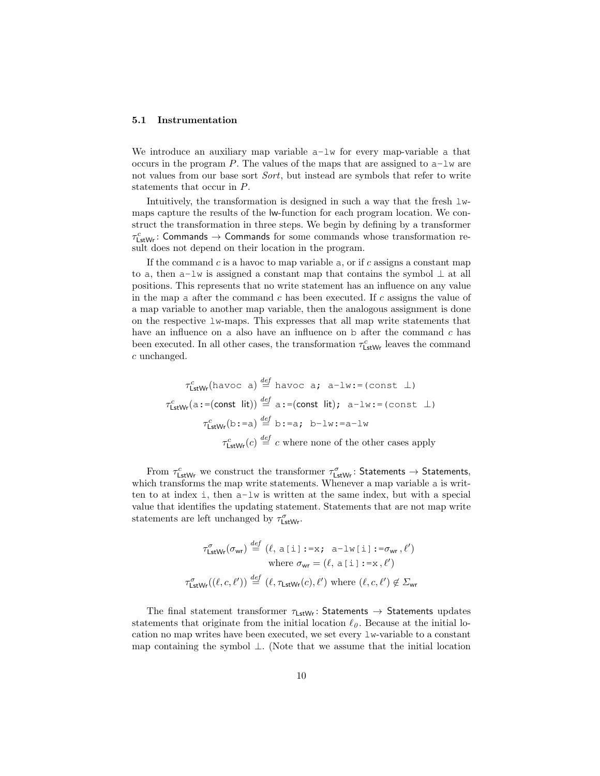#### 5.1 Instrumentation

We introduce an auxiliary map variable a-lw for every map-variable a that occurs in the program P. The values of the maps that are assigned to  $a-1w$  are not values from our base sort *Sort*, but instead are symbols that refer to write statements that occur in P.

Intuitively, the transformation is designed in such a way that the fresh lwmaps capture the results of the lw-function for each program location. We construct the transformation in three steps. We begin by defining by a transformer  $\tau_{\text{LstWr}}^c$ : Commands  $\rightarrow$  Commands for some commands whose transformation result does not depend on their location in the program.

If the command  $c$  is a havoc to map variable a, or if  $c$  assigns a constant map to a, then a-lw is assigned a constant map that contains the symbol ⊥ at all positions. This represents that no write statement has an influence on any value in the map a after the command c has been executed. If c assigns the value of a map variable to another map variable, then the analogous assignment is done on the respective lw-maps. This expresses that all map write statements that have an influence on a also have an influence on b after the command c has been executed. In all other cases, the transformation  $\tau_{\textsf{LstWr}}^{c}$  leaves the command c unchanged.

$$
\tau_{\text{LstWr}}^{c}(\text{havoc a}) \stackrel{\text{def}}{=} \text{havoc a; a-lw:=(const \bot)}
$$
\n
$$
\tau_{\text{LstWr}}^{c}(\text{a}:=(\text{const lit})) \stackrel{\text{def}}{=} \text{a}:=(\text{const lit); a-lw:=(const \bot)}
$$
\n
$$
\tau_{\text{LstWr}}^{c}(\text{b:=a}) \stackrel{\text{def}}{=} \text{b:=a; b-lw:=-1w}
$$
\n
$$
\tau_{\text{LstWr}}^{c}(c) \stackrel{\text{def}}{=} c \text{ where none of the other cases apply}
$$

From  $\tau_{\textsf{LstWr}}^c$  we construct the transformer  $\tau_{\textsf{LstWr}}^{\sigma}$ : Statements  $\rightarrow$  Statements, which transforms the map write statements. Whenever a map variable a is written to at index i, then a-lw is written at the same index, but with a special value that identifies the updating statement. Statements that are not map write statements are left unchanged by  $\tau_{\textsf{LstWr}}^{\sigma}$ .

$$
\tau_{\text{LstWr}}^{\sigma}(\sigma_{\text{wr}}) \stackrel{\text{def}}{=} (\ell, a[i]:=x; a-lw[i]:=\sigma_{\text{wr}}, \ell')
$$
\nwhere  $\sigma_{\text{wr}} = (\ell, a[i]:=x, \ell')$   
\n
$$
\tau_{\text{LstWr}}^{\sigma}((\ell, c, \ell')) \stackrel{\text{def}}{=} (\ell, \tau_{\text{LstWr}}(c), \ell') \text{ where } (\ell, c, \ell') \notin \Sigma_{\text{wr}}
$$

The final statement transformer  $\tau_{\text{LstWr}}$ : Statements  $\rightarrow$  Statements updates statements that originate from the initial location  $\ell_0$ . Because at the initial location no map writes have been executed, we set every lw-variable to a constant map containing the symbol ⊥. (Note that we assume that the initial location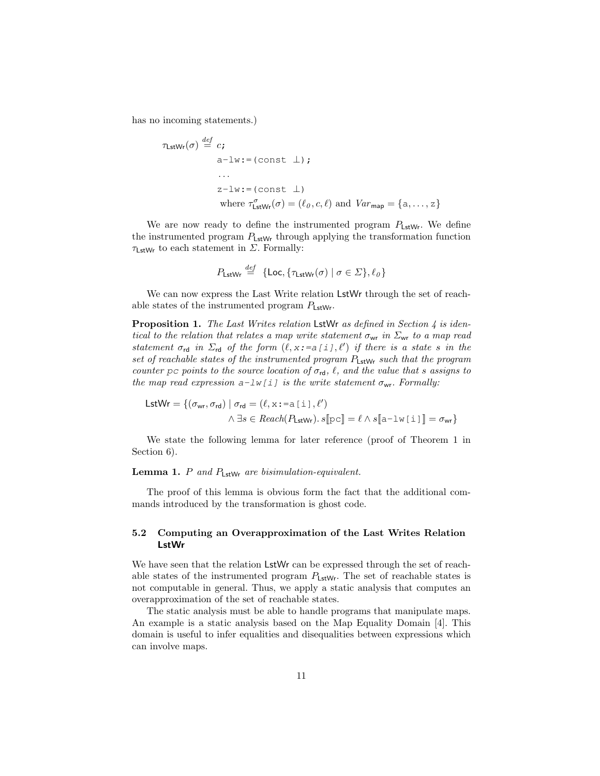has no incoming statements.)

$$
\tau_{\text{LstWr}}(\sigma) \stackrel{def}{=} c;
$$
\n
$$
a-1w := (\text{const } \perp);
$$
\n...\n
$$
z-1w := (\text{const } \perp)
$$
\nwhere  $\tau_{\text{LstWr}}^{\sigma}(\sigma) = (\ell_0, c, \ell)$  and  $Var_{\text{map}} = \{a, \ldots, z\}$ 

We are now ready to define the instrumented program  $P_{\text{LstWr}}$ . We define the instrumented program  $P_{\text{LstWr}}$  through applying the transformation function  $\tau_{\text{LstWr}}$  to each statement in  $\Sigma$ . Formally:

<span id="page-10-1"></span>
$$
P_{\mathsf{LstWr}} \stackrel{\text{def}}{=} \{\mathsf{Loc}, \{\tau_{\mathsf{LstWr}}(\sigma) \mid \sigma \in \Sigma\}, \ell_0\}
$$

We can now express the Last Write relation LstWr through the set of reachable states of the instrumented program PLstWr.

**Proposition 1.** The Last Writes relation LstWr as defined in Section  $\frac{1}{4}$  $\frac{1}{4}$  $\frac{1}{4}$  is identical to the relation that relates a map write statement  $\sigma_{\text{wr}}$  in  $\Sigma_{\text{wr}}$  to a map read statement  $\sigma_{rd}$  in  $\Sigma_{rd}$  of the form  $(\ell, x := a[i], \ell')$  if there is a state s in the set of reachable states of the instrumented program  $P_{\text{LstWr}}$  such that the program counter pc points to the source location of  $\sigma_{rd}$ ,  $\ell$ , and the value that s assigns to the map read expression  $a-1w[i]$  is the write statement  $\sigma_{wr}$ . Formally:

$$
\begin{aligned} \textsf{LstWr} &= \{ (\sigma_{\textsf{wr}}, \sigma_{\textsf{rd}}) \mid \sigma_{\textsf{rd}} = (\ell, x \colon = a \text{[i]}, \ell') \\ &\land \exists s \in \textit{Reach}(P_{\textsf{LstWr}}) \text{.} s[\mathbb{pc}] = \ell \land s[\![a - \text{lw}[i]\!] = \sigma_{\textsf{wr}} \} \end{aligned}
$$

We state the following lemma for later reference (proof of Theorem [1](#page-14-0) in Section [6\)](#page-11-0).

#### <span id="page-10-0"></span>**Lemma 1.** P and  $P_{\text{LstWr}}$  are bisimulation-equivalent.

The proof of this lemma is obvious form the fact that the additional commands introduced by the transformation is ghost code.

### 5.2 Computing an Overapproximation of the Last Writes Relation LstWr

We have seen that the relation LstWr can be expressed through the set of reachable states of the instrumented program  $P_{\text{LstWr}}$ . The set of reachable states is not computable in general. Thus, we apply a static analysis that computes an overapproximation of the set of reachable states.

The static analysis must be able to handle programs that manipulate maps. An example is a static analysis based on the Map Equality Domain [\[4\]](#page-20-8). This domain is useful to infer equalities and disequalities between expressions which can involve maps.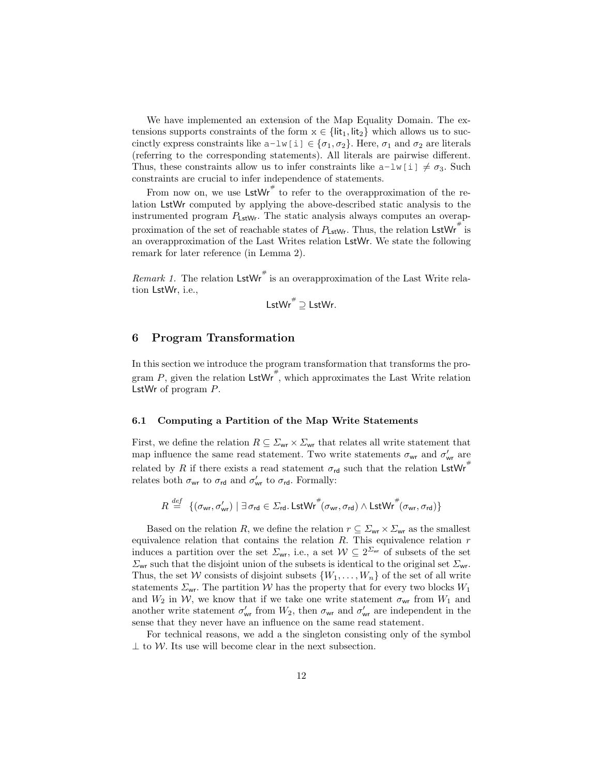We have implemented an extension of the Map Equality Domain. The extensions supports constraints of the form  $x \in \{l, l, l\}$  which allows us to succinctly express constraints like  $a-1\le i \in \{\sigma_1, \sigma_2\}$ . Here,  $\sigma_1$  and  $\sigma_2$  are literals (referring to the corresponding statements). All literals are pairwise different. Thus, these constraints allow us to infer constraints like  $a-1\le i \neq \sigma_3$ . Such constraints are crucial to infer independence of statements.

From now on, we use  $\mathsf{LstWr}^{\#}$  to refer to the overapproximation of the relation LstWr computed by applying the above-described static analysis to the instrumented program  $P_{\text{LstWr}}$ . The static analysis always computes an overapproximation of the set of reachable states of  $P_{\text{LstWr}}$ . Thus, the relation  $\text{LstWr}^{\#}$  is an overapproximation of the Last Writes relation LstWr. We state the following remark for later reference (in Lemma [2\)](#page-13-0).

<span id="page-11-1"></span>*Remark 1*. The relation  $\textsf{LstWr}^*$  is an overapproximation of the Last Write relation LstWr, i.e.,

$$
\mathsf{LstWr}^{\#}\supseteq \mathsf{LstWr}.
$$

### <span id="page-11-0"></span>6 Program Transformation

In this section we introduce the program transformation that transforms the program P, given the relation  $\mathsf{LstWr}^{\#}$ , which approximates the Last Write relation LstWr of program P.

### 6.1 Computing a Partition of the Map Write Statements

First, we define the relation  $R \subseteq \Sigma_{\text{wr}} \times \Sigma_{\text{wr}}$  that relates all write statement that map influence the same read statement. Two write statements  $\sigma_{\mathsf{wr}}$  and  $\sigma_{\mathsf{wr}}'$  are related by R if there exists a read statement  $\sigma_{rd}$  such that the relation  $\textsf{LstWr}^{\#}$ relates both  $\sigma_{\text{wr}}$  to  $\sigma_{\text{rd}}$  and  $\sigma'_{\text{wr}}$  to  $\sigma_{\text{rd}}$ . Formally:

$$
R \stackrel{\text{def}}{=} \{(\sigma_{\mathsf{wr}}, \sigma_{\mathsf{wr}}') \mid \exists \, \sigma_{\mathsf{rd}} \in \Sigma_{\mathsf{rd}}.\, \mathsf{LstWr}^{\#}(\sigma_{\mathsf{wr}}, \sigma_{\mathsf{rd}}) \land \mathsf{LstWr}^{\#}(\sigma_{\mathsf{wr}}, \sigma_{\mathsf{rd}})\}
$$

Based on the relation R, we define the relation  $r \subseteq \Sigma_{\text{wr}} \times \Sigma_{\text{wr}}$  as the smallest equivalence relation that contains the relation  $R$ . This equivalence relation  $r$ induces a partition over the set  $\Sigma_{\text{wr}}$ , i.e., a set  $W \subseteq 2^{\Sigma_{\text{wr}}}$  of subsets of the set  $\Sigma_{\text{wr}}$  such that the disjoint union of the subsets is identical to the original set  $\Sigma_{\text{wr}}$ . Thus, the set W consists of disjoint subsets  $\{W_1, \ldots, W_n\}$  of the set of all write statements  $\Sigma_{\text{wr}}$ . The partition W has the property that for every two blocks  $W_1$ and  $W_2$  in W, we know that if we take one write statement  $\sigma_{\mathbf{wr}}$  from  $W_1$  and another write statement  $\sigma'_{\text{wr}}$  from  $W_2$ , then  $\sigma_{\text{wr}}$  and  $\sigma'_{\text{wr}}$  are independent in the sense that they never have an influence on the same read statement.

For technical reasons, we add a the singleton consisting only of the symbol  $\perp$  to W. Its use will become clear in the next subsection.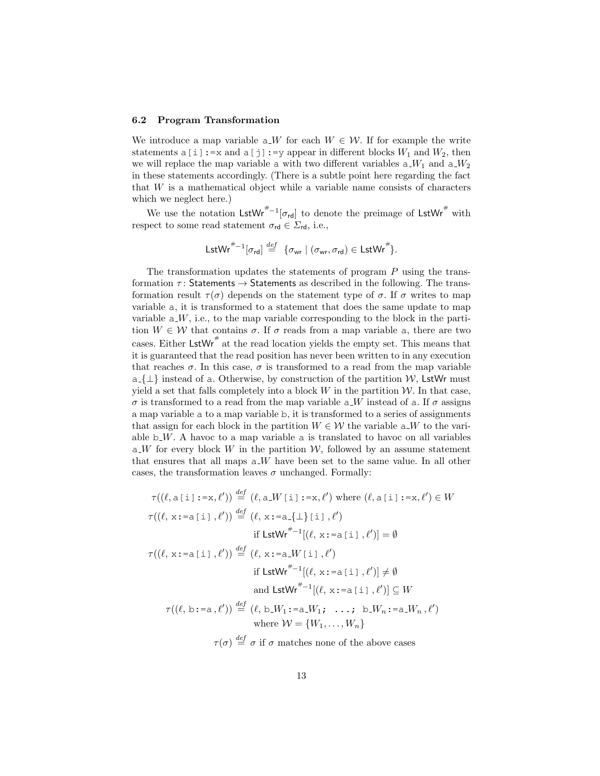#### 6.2 Program Transformation

We introduce a map variable  $a_W$  for each  $W \in \mathcal{W}$ . If for example the write statements a [i]: =x and a [j]: =y appear in different blocks  $W_1$  and  $W_2$ , then we will replace the map variable a with two different variables  $a_{-}W_1$  and  $a_{-}W_2$ in these statements accordingly. (There is a subtle point here regarding the fact that  $W$  is a mathematical object while a variable name consists of characters which we neglect here.)

We use the notation  $\mathsf{LstWr}^{\#-1}[\sigma_{\mathsf{rd}}]$  to denote the preimage of  $\mathsf{LstWr}^{\#}$  with respect to some read statement  $\sigma_{\sf rd} \in \Sigma_{\sf rd}$ , i.e.,

$$
\mathsf{LstWr}^{\# - 1}[\sigma_{\mathsf{rd}}] \stackrel{def}{=} \{ \sigma_{\mathsf{wr}} \mid (\sigma_{\mathsf{wr}}, \sigma_{\mathsf{rd}}) \in \mathsf{LstWr}^{\#} \}.
$$

The transformation updates the statements of program P using the transformation  $\tau$ : Statements  $\rightarrow$  Statements as described in the following. The transformation result  $\tau(\sigma)$  depends on the statement type of  $\sigma$ . If  $\sigma$  writes to map variable a, it is transformed to a statement that does the same update to map variable  $a_{\text{-}}W$ , i.e., to the map variable corresponding to the block in the partition  $W \in \mathcal{W}$  that contains  $\sigma$ . If  $\sigma$  reads from a map variable a, there are two cases. Either  $\mathsf{LstWr}^{\#}$  at the read location yields the empty set. This means that it is guaranteed that the read position has never been written to in any execution that reaches  $\sigma$ . In this case,  $\sigma$  is transformed to a read from the map variable  $a = \pm 1$  instead of a. Otherwise, by construction of the partition W, LstWr must yield a set that falls completely into a block  $W$  in the partition  $W$ . In that case, σ is transformed to a read from the map variable a W instead of a. If σ assigns a map variable a to a map variable b, it is transformed to a series of assignments that assign for each block in the partition  $W \in \mathcal{W}$  the variable a W to the variable  $b_{\text{-}}W$ . A havoc to a map variable a is translated to havoc on all variables  $a_{\text{v}}$  a W for every block W in the partition W, followed by an assume statement that ensures that all maps  $a_W$  have been set to the same value. In all other cases, the transformation leaves  $\sigma$  unchanged. Formally:

$$
\tau((\ell, a[i]:=x, \ell')) \stackrel{\text{def}}{=} (\ell, a.W[i]:=x, \ell') \text{ where } (\ell, a[i]:=x, \ell') \in W
$$

$$
\tau((\ell, x:=a[i], \ell')) \stackrel{\text{def}}{=} (\ell, x:=a_{\text{max}}[1], \ell')
$$

$$
\text{if } \text{LstWr}^{*-1}[(\ell, x:=a[i], \ell')] = \emptyset
$$

$$
\tau((\ell, x:=a[i], \ell')) \stackrel{\text{def}}{=} (\ell, x:=a.W[i], \ell')
$$

$$
\text{if } \text{LstWr}^{*-1}[(\ell, x:=a[i], \ell')] \neq \emptyset
$$

$$
\text{and } \text{LstWr}^{*-1}[(\ell, x:=a[i], \ell')] \subseteq W
$$

$$
\tau((\ell, b:=a, \ell')) \stackrel{\text{def}}{=} (\ell, b_{\text{max}}[1, a]) \cdot \ldots \cdot b_{\text{max}}[1, a]) \subseteq W
$$

$$
\tau((\ell, b:=a, \ell')) \stackrel{\text{def}}{=} (\ell, b_{\text{max}}[1, a]) \cdot \ldots \cdot b_{\text{max}}[1, a])
$$

$$
\text{where } W = \{W_1, \ldots, W_n\}
$$

 $\tau(\sigma) \stackrel{def}{=} \sigma$  if  $\sigma$  matches none of the above cases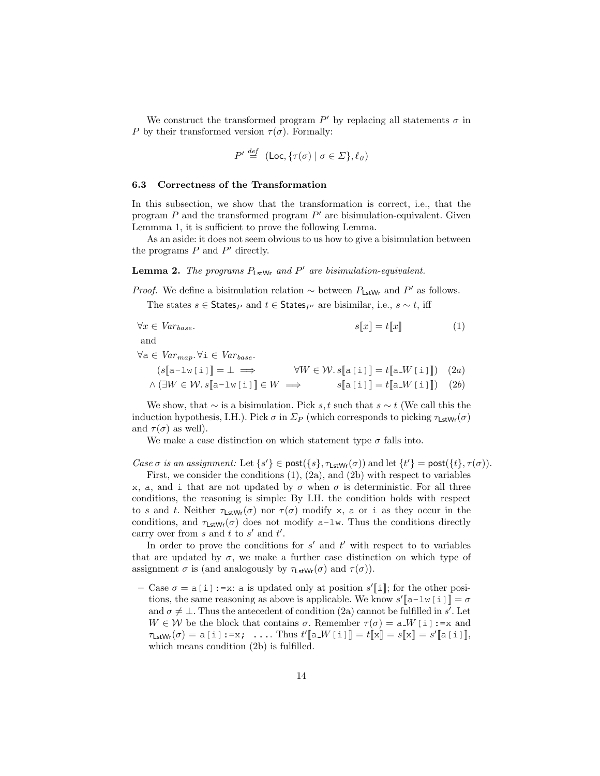We construct the transformed program  $P'$  by replacing all statements  $\sigma$  in P by their transformed version  $\tau(\sigma)$ . Formally:

$$
P' \stackrel{\text{def}}{=} (\text{Loc}, \{\tau(\sigma) \mid \sigma \in \Sigma\}, \ell_0)
$$

#### 6.3 Correctness of the Transformation

In this subsection, we show that the transformation is correct, i.e., that the program  $P$  and the transformed program  $P'$  are bisimulation-equivalent. Given Lemmma [1,](#page-10-0) it is sufficient to prove the following Lemma.

As an aside: it does not seem obvious to us how to give a bisimulation between the programs  $P$  and  $P'$  directly.

# <span id="page-13-0"></span>**Lemma 2.** The programs  $P_{\text{LstWr}}$  and  $P'$  are bisimulation-equivalent.

*Proof.* We define a bisimulation relation  $\sim$  between  $P_{\text{LstWr}}$  and  $P'$  as follows. The states s ∈ States<sub>P</sub> and  $t \in$  States<sub>P'</sub> are bisimilar, i.e.,  $s \sim t$ , iff

$$
\forall x \in Var_{base}.\tag{1}
$$

and

 $∀a ∈ Var_{map}. ∀i ∈ Var_{base}.$ 

$$
(s[[a-1w[i]] = \bot \implies \forall W \in \mathcal{W}. s[[a[i]] = t[[a.W[i]]]) \quad (2a)
$$

$$
\land (\exists W \in \mathcal{W}. s[[a-1w[i]] \in W \implies s[[a[i]] = t[[a.W[i]]]) \quad (2b)
$$

We show, that  $\sim$  is a bisimulation. Pick s, t such that s  $\sim$  t (We call this the induction hypothesis, I.H.). Pick  $\sigma$  in  $\Sigma_P$  (which corresponds to picking  $\tau_{\text{LstWr}}(\sigma)$ and  $\tau(\sigma)$  as well).

We make a case distinction on which statement type  $\sigma$  falls into.

Case  $\sigma$  is an assignment: Let  $\{s'\}\in \mathsf{post}(\{s\}, \tau_{\mathsf{LstWr}}(\sigma))$  and let  $\{t'\} = \mathsf{post}(\{t\}, \tau(\sigma))$ .

First, we consider the conditions (1), (2a), and (2b) with respect to variables x, a, and i that are not updated by  $\sigma$  when  $\sigma$  is deterministic. For all three conditions, the reasoning is simple: By I.H. the condition holds with respect to s and t. Neither  $\tau_{\text{LstWr}}(\sigma)$  nor  $\tau(\sigma)$  modify x, a or i as they occur in the conditions, and  $\tau_{\text{LstWr}}(\sigma)$  does not modify a-lw. Thus the conditions directly carry over from  $s$  and  $t$  to  $s'$  and  $t'$ .

In order to prove the conditions for  $s'$  and  $t'$  with respect to to variables that are updated by  $\sigma$ , we make a further case distinction on which type of assignment  $\sigma$  is (and analogously by  $\tau_{\text{LstWr}}(\sigma)$  and  $\tau(\sigma)$ ).

– Case  $\sigma = a[i]$ : =x: a is updated only at position s'[i]; for the other positions, the same reasoning as above is applicable. We know  $s'$ [a-lw[i]] =  $\sigma$ and  $\sigma \neq \bot$ . Thus the antecedent of condition (2a) cannot be fulfilled in s'. Let  $W \in \mathcal{W}$  be the block that contains  $\sigma$ . Remember  $\tau(\sigma) = a W[i] := x$  and  $\tau_{\text{LstWr}}(\sigma) = \text{a[i]} := x; \dots$  Thus  $t'[\![\text{a\_W[i]}]\!] = t[\![\text{x}]\!] = s[\![\text{x}]\!] = s'[\![\text{a[i]}]\!]$ , which means condition (2b) is fulfilled.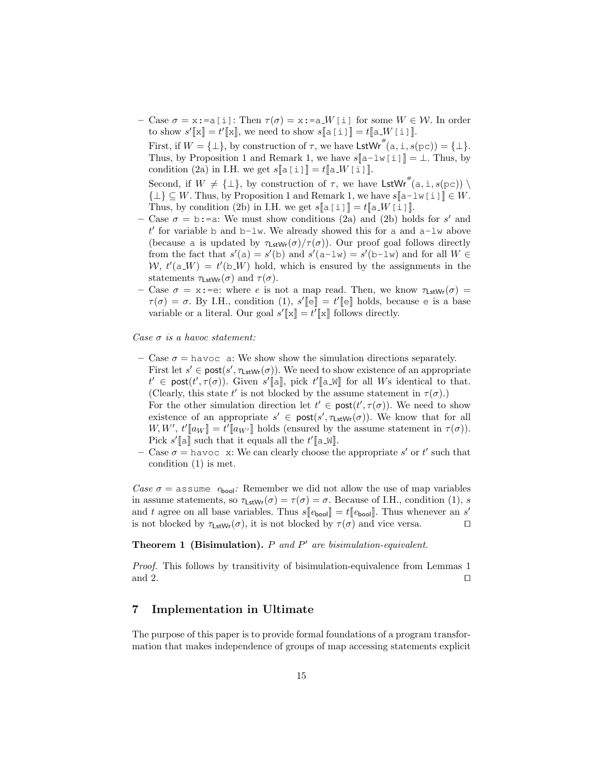– Case  $\sigma = x := a[i]$ : Then  $\tau(\sigma) = x := a[W[i]]$  for some  $W \in \mathcal{W}$ . In order to show  $s'[\![x]\!] = t'[\![x]\!]$ , we need to show  $s[\![a[\;i\;]\!] = t[\![a\_W[i\;]\!]$ .

First, if  $W = {\perp}$ , by construction of  $\tau$ , we have  $\mathsf{LstWr}^{\#}(a, i, s(pc)) = {\perp}$ . Thus, by Proposition [1](#page-10-1) and Remark [1,](#page-11-1) we have  $s[\mathsf{a}-\mathsf{lw}[i]] = \bot$ . Thus, by condition (2a) in I.H. we get  $s[[a[i]]] = t[[a_W[i]]]$ .

Second, if  $W \neq {\{\perp\}}$ , by construction of  $\tau$ , we have  $\mathsf{LstWr}^{\#}(a, i, s(pc))$  $\{\perp\} \subseteq W$ . Thus, by Proposition [1](#page-10-1) and Remark [1,](#page-11-1) we have  $s[\neg a - \exists w[\bot]] \in W$ . Thus, by condition (2b) in I.H. we get  $s[[a[i]] = t[[a-W[i]]]$ .

- Case  $\sigma = b := a$ : We must show conditions (2a) and (2b) holds for s' and  $t'$  for variable b and b-lw. We already showed this for a and a-lw above (because a is updated by  $\tau_{\text{LstWr}}(\sigma)/\tau(\sigma)$ ). Our proof goal follows directly from the fact that  $s'(a) = s'(b)$  and  $s'(a-\lambda w) = s'(b-\lambda w)$  and for all  $W \in$  $W, t'(\text{a}_W) = t'(\text{b}_W)$  hold, which is ensured by the assignments in the statements  $\tau_{\text{LstWr}}(\sigma)$  and  $\tau(\sigma)$ .
- Case  $\sigma = x :=e$ : where e is not a map read. Then, we know  $\tau_{\text{LstWr}}(\sigma)$  $\tau(\sigma) = \sigma$ . By I.H., condition (1),  $s'$ [e]] =  $t'$ [e]] holds, because e is a base variable or a literal. Our goal  $s'$   $\llbracket x \rrbracket = t'$   $\llbracket x \rrbracket$  follows directly.

Case  $\sigma$  is a havoc statement:

– Case  $\sigma$  = havoc a: We show show the simulation directions separately. First let  $s' \in \text{post}(s', \tau_{\text{LstWr}}(\sigma))$ . We need to show existence of an appropriate  $t' \in \text{post}(t', \tau(\sigma))$ . Given s'[a], pick  $t'$ [a\_W] for all Ws identical to that. (Clearly, this state  $t'$  is not blocked by the assume statement in  $\tau(\sigma)$ .) For the other simulation direction let  $t' \in \text{post}(t', \tau(\sigma))$ . We need to show existence of an appropriate  $s' \in \text{post}(s', \tau_{\text{LstWr}}(\sigma))$ . We know that for all  $W, W', t' \llbracket a_W \rrbracket = t' \llbracket a_{W'} \rrbracket$  holds (ensured by the assume statement in  $\tau(\sigma)$ ).

Pick  $s'$ [a] such that it equals all the  $t'$ [a\_W].

- Case  $\sigma$  = havoc x: We can clearly choose the appropriate s' or t' such that condition (1) is met.

Case  $\sigma$  = assume  $e_{\text{bool}}$ : Remember we did not allow the use of map variables in assume statements, so  $\tau_{\text{LstWr}}(\sigma) = \tau(\sigma) = \sigma$ . Because of I.H., condition (1), s and t agree on all base variables. Thus  $s[\![e_{\text{bool}}]\!] = t[\![e_{\text{bool}}]\!]$ . Thus whenever an s' is not blocked by  $\tau_{\text{LstWr}}(\sigma)$ , it is not blocked by  $\tau(\sigma)$  and vice versa.

# <span id="page-14-0"></span>**Theorem 1 (Bisimulation).**  $P$  and  $P'$  are bisimulation-equivalent.

Proof. This follows by transitivity of bisimulation-equivalence from Lemmas [1](#page-10-0) and [2.](#page-13-0)

### 7 Implementation in Ultimate

The purpose of this paper is to provide formal foundations of a program transformation that makes independence of groups of map accessing statements explicit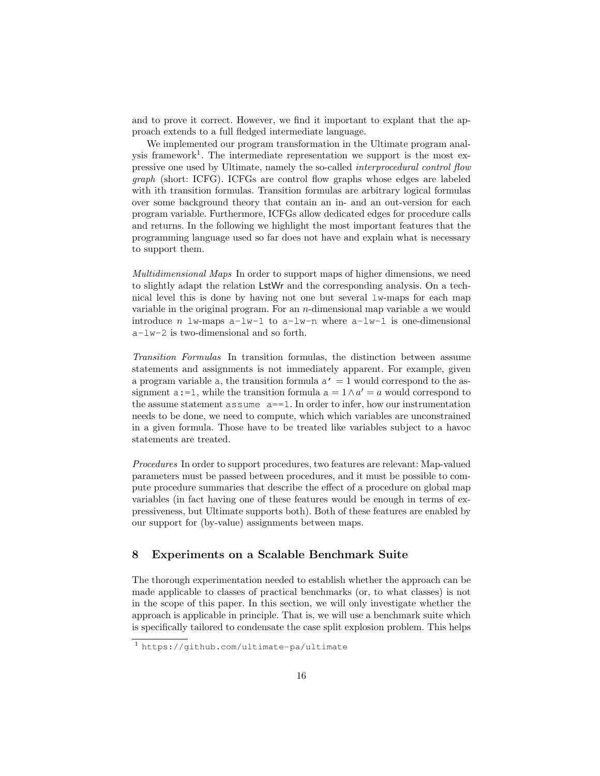and to prove it correct. However, we find it important to explant that the approach extends to a full fledged intermediate language.

We implemented our program transformation in the Ultimate program anal-ysis framework<sup>[1](#page-15-0)</sup>. The intermediate representation we support is the most expressive one used by Ultimate, namely the so-called interprocedural control flow graph (short: ICFG). ICFGs are control flow graphs whose edges are labeled with ith transition formulas. Transition formulas are arbitrary logical formulas over some background theory that contain an in- and an out-version for each program variable. Furthermore, ICFGs allow dedicated edges for procedure calls and returns. In the following we highlight the most important features that the programming language used so far does not have and explain what is necessary to support them.

Multidimensional Maps In order to support maps of higher dimensions, we need to slightly adapt the relation LstWr and the corresponding analysis. On a technical level this is done by having not one but several lw-maps for each map variable in the original program. For an  $n$ -dimensional map variable a we would introduce n lw-maps  $a-lw-1$  to  $a-lw-n$  where  $a-lw-1$  is one-dimensional a-lw-2 is two-dimensional and so forth.

Transition Formulas In transition formulas, the distinction between assume statements and assignments is not immediately apparent. For example, given a program variable a, the transition formula  $a' = 1$  would correspond to the assignment a: =1, while the transition formula  $a = 1 \wedge a' = a$  would correspond to the assume statement assume a==1. In order to infer, how our instrumentation needs to be done, we need to compute, which which variables are unconstrained in a given formula. Those have to be treated like variables subject to a havoc statements are treated.

Procedures In order to support procedures, two features are relevant: Map-valued parameters must be passed between procedures, and it must be possible to compute procedure summaries that describe the effect of a procedure on global map variables (in fact having one of these features would be enough in terms of expressiveness, but Ultimate supports both). Both of these features are enabled by our support for (by-value) assignments between maps.

# 8 Experiments on a Scalable Benchmark Suite

The thorough experimentation needed to establish whether the approach can be made applicable to classes of practical benchmarks (or, to what classes) is not in the scope of this paper. In this section, we will only investigate whether the approach is applicable in principle. That is, we will use a benchmark suite which is specifically tailored to condensate the case split explosion problem. This helps

<span id="page-15-0"></span><sup>1</sup> <https://github.com/ultimate-pa/ultimate>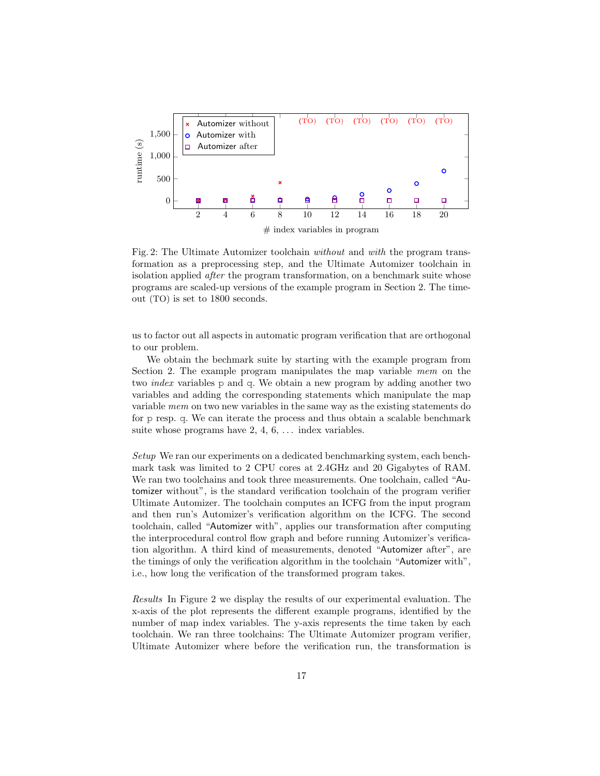<span id="page-16-0"></span>

Fig. 2: The Ultimate Automizer toolchain without and with the program transformation as a preprocessing step, and the Ultimate Automizer toolchain in isolation applied after the program transformation, on a benchmark suite whose programs are scaled-up versions of the example program in Section 2. The timeout (TO) is set to 1800 seconds.

us to factor out all aspects in automatic program verification that are orthogonal to our problem.

We obtain the bechmark suite by starting with the example program from Section [2.](#page-3-0) The example program manipulates the map variable mem on the two index variables p and q. We obtain a new program by adding another two variables and adding the corresponding statements which manipulate the map variable mem on two new variables in the same way as the existing statements do for p resp. q. We can iterate the process and thus obtain a scalable benchmark suite whose programs have  $2, 4, 6, \ldots$  index variables.

Setup We ran our experiments on a dedicated benchmarking system, each benchmark task was limited to 2 CPU cores at 2.4GHz and 20 Gigabytes of RAM. We ran two toolchains and took three measurements. One toolchain, called "Automizer without", is the standard verification toolchain of the program verifier Ultimate Automizer. The toolchain computes an ICFG from the input program and then run's Automizer's verification algorithm on the ICFG. The second toolchain, called "Automizer with", applies our transformation after computing the interprocedural control flow graph and before running Automizer's verification algorithm. A third kind of measurements, denoted "Automizer after", are the timings of only the verification algorithm in the toolchain "Automizer with", i.e., how long the verification of the transformed program takes.

Results In Figure [2](#page-16-0) we display the results of our experimental evaluation. The x-axis of the plot represents the different example programs, identified by the number of map index variables. The y-axis represents the time taken by each toolchain. We ran three toolchains: The Ultimate Automizer program verifier, Ultimate Automizer where before the verification run, the transformation is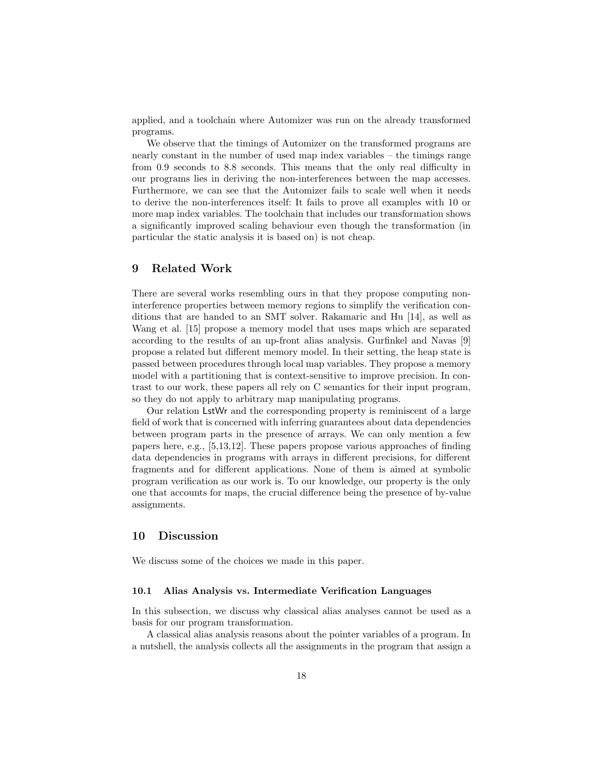applied, and a toolchain where Automizer was run on the already transformed programs.

We observe that the timings of Automizer on the transformed programs are nearly constant in the number of used map index variables – the timings range from 0.9 seconds to 8.8 seconds. This means that the only real difficulty in our programs lies in deriving the non-interferences between the map accesses. Furthermore, we can see that the Automizer fails to scale well when it needs to derive the non-interferences itself: It fails to prove all examples with 10 or more map index variables. The toolchain that includes our transformation shows a significantly improved scaling behaviour even though the transformation (in particular the static analysis it is based on) is not cheap.

### 9 Related Work

There are several works resembling ours in that they propose computing noninterference properties between memory regions to simplify the verification conditions that are handed to an SMT solver. Rakamaric and Hu [\[14\]](#page-20-9), as well as Wang et al. [\[15\]](#page-20-10) propose a memory model that uses maps which are separated according to the results of an up-front alias analysis. Gurfinkel and Navas [\[9\]](#page-20-11) propose a related but different memory model. In their setting, the heap state is passed between procedures through local map variables. They propose a memory model with a partitioning that is context-sensitive to improve precision. In contrast to our work, these papers all rely on C semantics for their input program, so they do not apply to arbitrary map manipulating programs.

Our relation LstWr and the corresponding property is reminiscent of a large field of work that is concerned with inferring guarantees about data dependencies between program parts in the presence of arrays. We can only mention a few papers here, e.g., [\[5](#page-20-12)[,13,](#page-20-13)[12\]](#page-20-14). These papers propose various approaches of finding data dependencies in programs with arrays in different precisions, for different fragments and for different applications. None of them is aimed at symbolic program verification as our work is. To our knowledge, our property is the only one that accounts for maps, the crucial difference being the presence of by-value assignments.

### <span id="page-17-0"></span>10 Discussion

We discuss some of the choices we made in this paper.

### 10.1 Alias Analysis vs. Intermediate Verification Languages

In this subsection, we discuss why classical alias analyses cannot be used as a basis for our program transformation.

A classical alias analysis reasons about the pointer variables of a program. In a nutshell, the analysis collects all the assignments in the program that assign a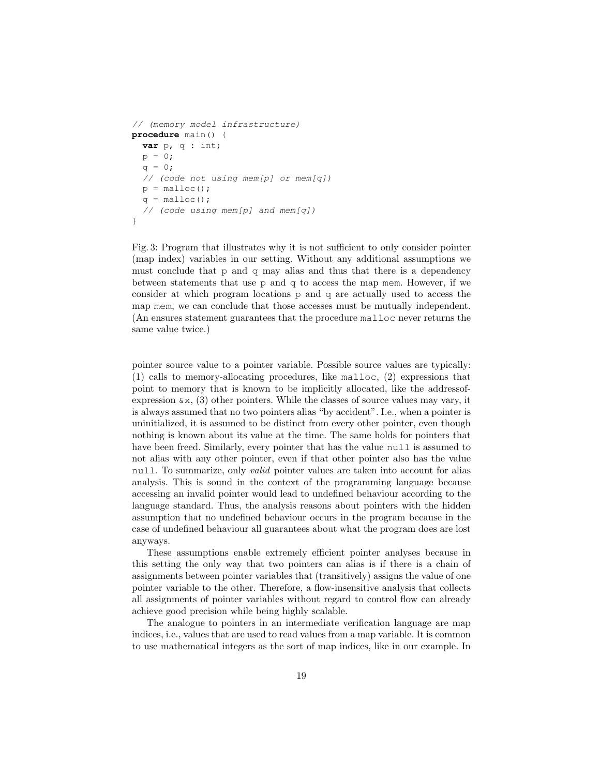```
// (memory model infrastructure)
procedure main() {
  var p, q : int;
  p = 0;
  q = 0;// (code not using mem[p] or mem[q])
  p = \text{malloc}();q = \text{malloc}();
  // (code using mem[p] and mem[q])
}
```
Fig. 3: Program that illustrates why it is not sufficient to only consider pointer (map index) variables in our setting. Without any additional assumptions we must conclude that  $p$  and  $q$  may alias and thus that there is a dependency between statements that use p and q to access the map mem. However, if we consider at which program locations p and q are actually used to access the map mem, we can conclude that those accesses must be mutually independent. (An ensures statement guarantees that the procedure malloc never returns the same value twice.)

pointer source value to a pointer variable. Possible source values are typically: (1) calls to memory-allocating procedures, like malloc, (2) expressions that point to memory that is known to be implicitly allocated, like the addressofexpression  $\&\times$ , (3) other pointers. While the classes of source values may vary, it is always assumed that no two pointers alias "by accident". I.e., when a pointer is uninitialized, it is assumed to be distinct from every other pointer, even though nothing is known about its value at the time. The same holds for pointers that have been freed. Similarly, every pointer that has the value null is assumed to not alias with any other pointer, even if that other pointer also has the value null. To summarize, only *valid* pointer values are taken into account for alias analysis. This is sound in the context of the programming language because accessing an invalid pointer would lead to undefined behaviour according to the language standard. Thus, the analysis reasons about pointers with the hidden assumption that no undefined behaviour occurs in the program because in the case of undefined behaviour all guarantees about what the program does are lost anyways.

These assumptions enable extremely efficient pointer analyses because in this setting the only way that two pointers can alias is if there is a chain of assignments between pointer variables that (transitively) assigns the value of one pointer variable to the other. Therefore, a flow-insensitive analysis that collects all assignments of pointer variables without regard to control flow can already achieve good precision while being highly scalable.

The analogue to pointers in an intermediate verification language are map indices, i.e., values that are used to read values from a map variable. It is common to use mathematical integers as the sort of map indices, like in our example. In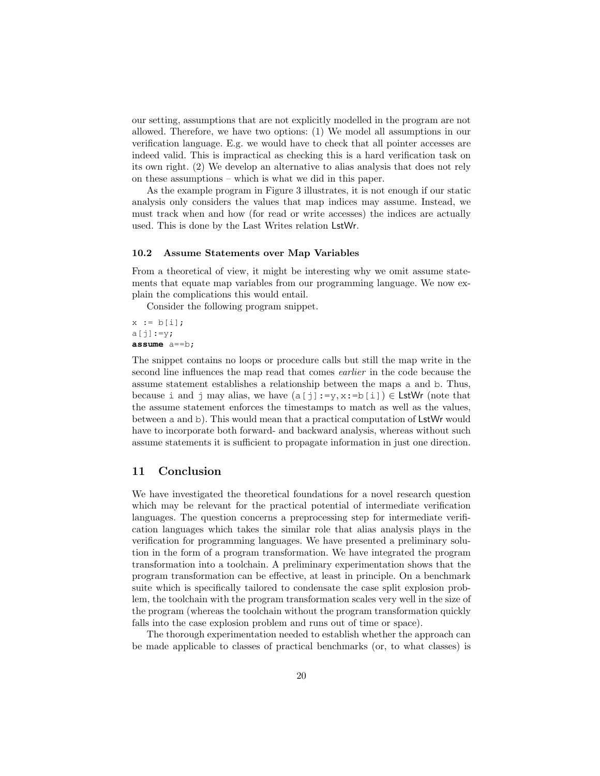our setting, assumptions that are not explicitly modelled in the program are not allowed. Therefore, we have two options: (1) We model all assumptions in our verification language. E.g. we would have to check that all pointer accesses are indeed valid. This is impractical as checking this is a hard verification task on its own right. (2) We develop an alternative to alias analysis that does not rely on these assumptions – which is what we did in this paper.

As the example program in Figure [3](#page-18-0) illustrates, it is not enough if our static analysis only considers the values that map indices may assume. Instead, we must track when and how (for read or write accesses) the indices are actually used. This is done by the Last Writes relation LstWr.

### 10.2 Assume Statements over Map Variables

From a theoretical of view, it might be interesting why we omit assume statements that equate map variables from our programming language. We now explain the complications this would entail.

Consider the following program snippet.

 $x := b[i];$  $a[j]:=y;$ **assume** a==b;

The snippet contains no loops or procedure calls but still the map write in the second line influences the map read that comes earlier in the code because the assume statement establishes a relationship between the maps a and b. Thus, because i and j may alias, we have  $(a[j]:=y, x:=b[i]) \in \textsf{LstWr}$  (note that the assume statement enforces the timestamps to match as well as the values, between a and b). This would mean that a practical computation of LstWr would have to incorporate both forward- and backward analysis, whereas without such assume statements it is sufficient to propagate information in just one direction.

### 11 Conclusion

We have investigated the theoretical foundations for a novel research question which may be relevant for the practical potential of intermediate verification languages. The question concerns a preprocessing step for intermediate verification languages which takes the similar role that alias analysis plays in the verification for programming languages. We have presented a preliminary solution in the form of a program transformation. We have integrated the program transformation into a toolchain. A preliminary experimentation shows that the program transformation can be effective, at least in principle. On a benchmark suite which is specifically tailored to condensate the case split explosion problem, the toolchain with the program transformation scales very well in the size of the program (whereas the toolchain without the program transformation quickly falls into the case explosion problem and runs out of time or space).

The thorough experimentation needed to establish whether the approach can be made applicable to classes of practical benchmarks (or, to what classes) is